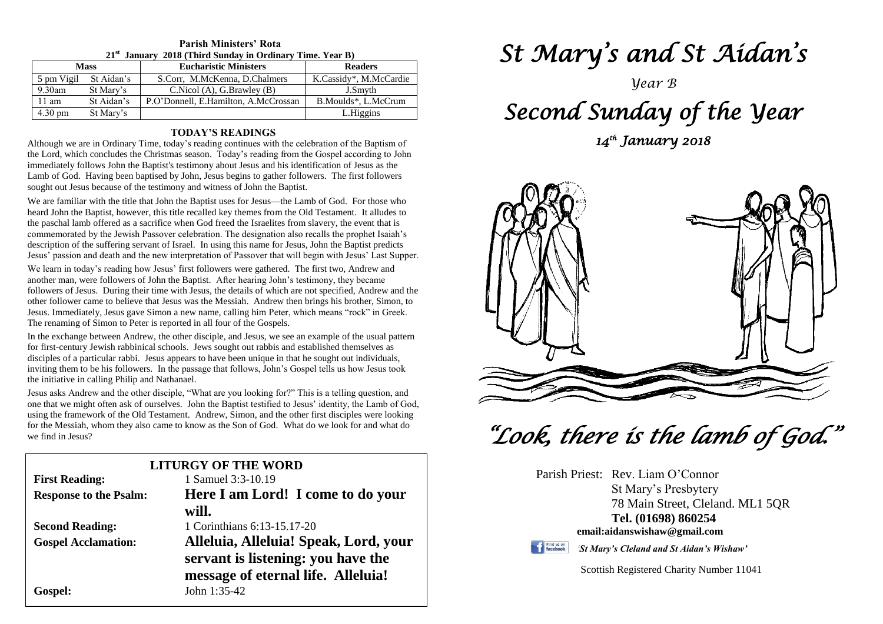| $21^{\rm st}$<br>January 2018 (Third Sunday in Ordinary Time. Year B) |            |                                      |                        |  |  |  |
|-----------------------------------------------------------------------|------------|--------------------------------------|------------------------|--|--|--|
| <b>Mass</b>                                                           |            | <b>Eucharistic Ministers</b>         | <b>Readers</b>         |  |  |  |
| 5 pm Vigil                                                            | St Aidan's | S.Corr, M.McKenna, D.Chalmers        | K.Cassidy*, M.McCardie |  |  |  |
| $9.30$ am                                                             | St Mary's  | C.Nicol(A), G.Brawley(B)             | J.Smyth                |  |  |  |
| $11 \text{ am}$                                                       | St Aidan's | P.O'Donnell, E.Hamilton, A.McCrossan | B.Moulds*, L.McCrum    |  |  |  |
| $4.30 \text{ pm}$                                                     | St Mary's  |                                      | L.Higgins              |  |  |  |

## **Parish Ministers' Rota**

#### **TODAY'S READINGS**

Although we are in Ordinary Time, today's reading continues with the celebration of the Baptism of the Lord, which concludes the Christmas season. Today's reading from the Gospel according to John immediately follows John the Baptist's testimony about Jesus and his identification of Jesus as the Lamb of God. Having been baptised by John, Jesus begins to gather followers. The first followers sought out Jesus because of the testimony and witness of John the Baptist.

We are familiar with the title that John the Baptist uses for Jesus—the Lamb of God. For those who heard John the Baptist, however, this title recalled key themes from the Old Testament. It alludes to the paschal lamb offered as a sacrifice when God freed the Israelites from slavery, the event that is commemorated by the Jewish Passover celebration. The designation also recalls the prophet Isaiah's description of the suffering servant of Israel. In using this name for Jesus, John the Baptist predicts Jesus' passion and death and the new interpretation of Passover that will begin with Jesus' Last Supper.

We learn in today's reading how Jesus' first followers were gathered. The first two, Andrew and another man, were followers of John the Baptist. After hearing John's testimony, they became followers of Jesus. During their time with Jesus, the details of which are not specified, Andrew and the other follower came to believe that Jesus was the Messiah. Andrew then brings his brother, Simon, to Jesus. Immediately, Jesus gave Simon a new name, calling him Peter, which means "rock" in Greek. The renaming of Simon to Peter is reported in all four of the Gospels.

Ine renaming or Simon to Peter is reported in all rour or the Gospels.<br>In the exchange between Andrew, the other disciple, and Jesus, we see an example of the usual pattern<br>for first-century Jewish rabbinical schools. Jews disciples or a particular rabol. Jesus appears to have been unique in that he sought out individuals, inviting them to be his followers. In the passage that follows, John's Gospel tells us how Jesus took the initiative in for first-century Jewish rabbinical schools. Jews sought out rabbis and established themselves as disciples of a particular rabbi. Jesus appears to have been unique in that he sought out individuals, the initiative in calling Philip and Nathanael.

*Sesus asks Andrew and the other disciple,* what are you looking for *f* intis is a tening question, and one that we might often ask of ourselves. John the Baptist testified to Jesus' identity, the Lamb of God, using the f for the Messiah, whom they also came to know as the Son of God. What do we look for and what do we find in Jesus? Jesus asks Andrew and the other disciple, "What are you looking for?" This is a telling question, and using the framework of the Old Testament. Andrew, Simon, and the other first disciples were looking we find in Jesus?

| <b>LITURGY OF THE WORD</b>    |                                       |  |  |  |  |
|-------------------------------|---------------------------------------|--|--|--|--|
| <b>First Reading:</b>         | 1 Samuel 3:3-10.19                    |  |  |  |  |
| <b>Response to the Psalm:</b> | Here I am Lord! I come to do your     |  |  |  |  |
|                               | will.                                 |  |  |  |  |
| <b>Second Reading:</b>        | 1 Corinthians 6:13-15.17-20           |  |  |  |  |
| <b>Gospel Acclamation:</b>    | Alleluia, Alleluia! Speak, Lord, your |  |  |  |  |
|                               | servant is listening: you have the    |  |  |  |  |
|                               | message of eternal life. Alleluia!    |  |  |  |  |
| Gospel:                       | John $1:35-42$                        |  |  |  |  |

# *St Mary's and St Aidan's*

*Year B*

## *Second Sunday of the Year*

*14th January 2018* 



 *"Look, there is the lamb of God."* 

| Parish Priest: Rev. Liam O'Connor |
|-----------------------------------|
| St Mary's Presbytery              |
| 78 Main Street, Cleland. ML1 5QR  |
| Tel. (01698) 860254               |
| email:aidanswishaw@gmail.com      |
|                                   |



*'St Mary's Cleland and St Aidan's Wishaw'*

Scottish Registered Charity Number 11041